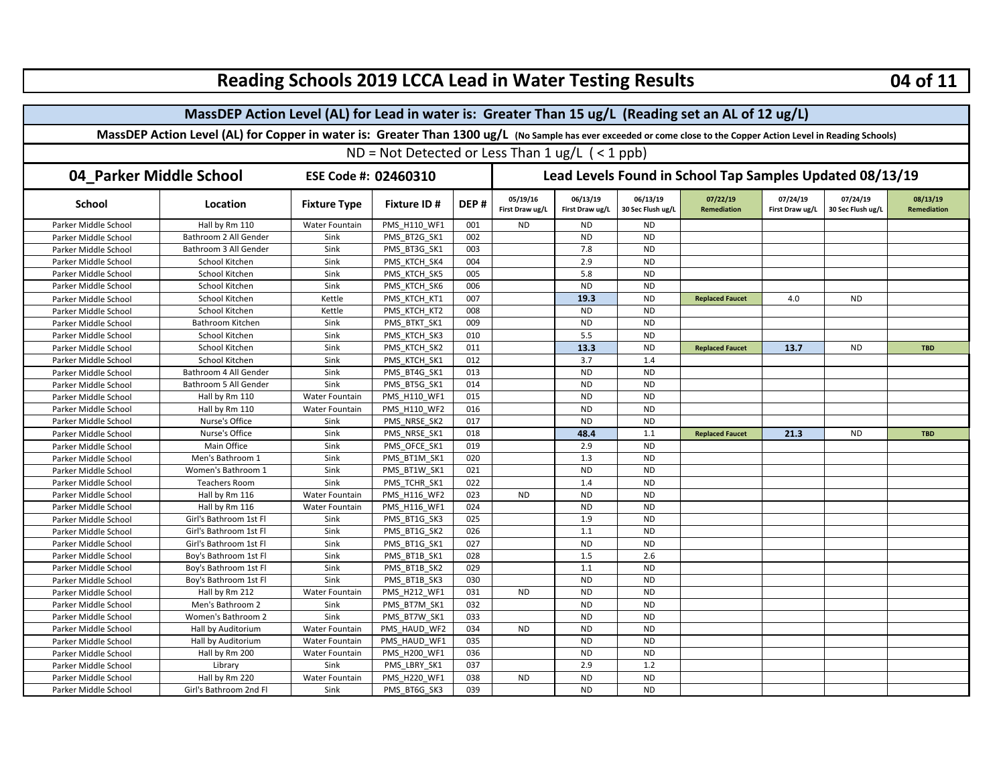| <b>Reading Schools 2019 LCCA Lead in Water Testing Results</b>                                                                                                     |                        |                       |                     |                                                          |                             |                             |                               |                                |                             |                               | 04 of 11                       |  |
|--------------------------------------------------------------------------------------------------------------------------------------------------------------------|------------------------|-----------------------|---------------------|----------------------------------------------------------|-----------------------------|-----------------------------|-------------------------------|--------------------------------|-----------------------------|-------------------------------|--------------------------------|--|
| MassDEP Action Level (AL) for Lead in water is: Greater Than 15 ug/L (Reading set an AL of 12 ug/L)                                                                |                        |                       |                     |                                                          |                             |                             |                               |                                |                             |                               |                                |  |
| MassDEP Action Level (AL) for Copper in water is: Greater Than 1300 ug/L (No Sample has ever exceeded or come close to the Copper Action Level in Reading Schools) |                        |                       |                     |                                                          |                             |                             |                               |                                |                             |                               |                                |  |
| $ND = Not$ Detected or Less Than 1 ug/L (< 1 ppb)                                                                                                                  |                        |                       |                     |                                                          |                             |                             |                               |                                |                             |                               |                                |  |
|                                                                                                                                                                    |                        |                       |                     |                                                          |                             |                             |                               |                                |                             |                               |                                |  |
| 04_Parker Middle School                                                                                                                                            | ESE Code #: 02460310   |                       |                     | Lead Levels Found in School Tap Samples Updated 08/13/19 |                             |                             |                               |                                |                             |                               |                                |  |
| <b>School</b>                                                                                                                                                      | Location               | <b>Fixture Type</b>   | <b>Fixture ID#</b>  | DEP#                                                     | 05/19/16<br>First Draw ug/L | 06/13/19<br>First Draw ug/L | 06/13/19<br>30 Sec Flush ug/L | 07/22/19<br><b>Remediation</b> | 07/24/19<br>First Draw ug/L | 07/24/19<br>30 Sec Flush ug/L | 08/13/19<br><b>Remediation</b> |  |
| Parker Middle School                                                                                                                                               | Hall by Rm 110         | Water Fountain        | PMS H110 WF1        | 001                                                      | <b>ND</b>                   | <b>ND</b>                   | <b>ND</b>                     |                                |                             |                               |                                |  |
| Parker Middle School                                                                                                                                               | Bathroom 2 All Gender  | Sink                  | PMS_BT2G_SK1        | 002                                                      |                             | <b>ND</b>                   | <b>ND</b>                     |                                |                             |                               |                                |  |
| Parker Middle School                                                                                                                                               | Bathroom 3 All Gender  | Sink                  | PMS BT3G SK1        | 003                                                      |                             | 7.8                         | <b>ND</b>                     |                                |                             |                               |                                |  |
| Parker Middle School                                                                                                                                               | School Kitchen         | Sink                  | PMS KTCH SK4        | 004                                                      |                             | 2.9                         | <b>ND</b>                     |                                |                             |                               |                                |  |
| Parker Middle School                                                                                                                                               | School Kitchen         | Sink                  | PMS KTCH SK5        | 005                                                      |                             | 5.8                         | <b>ND</b>                     |                                |                             |                               |                                |  |
| Parker Middle School                                                                                                                                               | School Kitchen         | Sink                  | PMS_KTCH_SK6        | 006                                                      |                             | <b>ND</b>                   | <b>ND</b>                     |                                |                             |                               |                                |  |
| Parker Middle School                                                                                                                                               | School Kitchen         | Kettle                | PMS_KTCH_KT1        | 007                                                      |                             | 19.3                        | <b>ND</b>                     | <b>Replaced Faucet</b>         | 4.0                         | <b>ND</b>                     |                                |  |
| Parker Middle School                                                                                                                                               | School Kitchen         | Kettle                | PMS KTCH KT2        | 008                                                      |                             | <b>ND</b>                   | <b>ND</b>                     |                                |                             |                               |                                |  |
| Parker Middle School                                                                                                                                               | Bathroom Kitchen       | Sink                  | PMS_BTKT_SK1        | 009                                                      |                             | <b>ND</b>                   | <b>ND</b>                     |                                |                             |                               |                                |  |
| Parker Middle School                                                                                                                                               | School Kitchen         | Sink                  | PMS_KTCH_SK3        | 010                                                      |                             | 5.5                         | <b>ND</b>                     |                                |                             |                               |                                |  |
| Parker Middle School                                                                                                                                               | School Kitchen         | Sink                  | PMS_KTCH_SK2        | 011                                                      |                             | 13.3                        | <b>ND</b>                     | <b>Replaced Faucet</b>         | 13.7                        | <b>ND</b>                     | <b>TBD</b>                     |  |
| Parker Middle School                                                                                                                                               | School Kitchen         | Sink                  | PMS KTCH SK1        | 012                                                      |                             | 3.7                         | 1.4                           |                                |                             |                               |                                |  |
| Parker Middle School                                                                                                                                               | Bathroom 4 All Gender  | Sink                  | PMS_BT4G_SK1        | 013                                                      |                             | <b>ND</b>                   | <b>ND</b>                     |                                |                             |                               |                                |  |
| Parker Middle School                                                                                                                                               | Bathroom 5 All Gender  | Sink                  | PMS BT5G SK1        | 014                                                      |                             | <b>ND</b>                   | <b>ND</b>                     |                                |                             |                               |                                |  |
| Parker Middle School                                                                                                                                               | Hall by Rm 110         | <b>Water Fountain</b> | PMS H110 WF1        | 015                                                      |                             | <b>ND</b>                   | <b>ND</b>                     |                                |                             |                               |                                |  |
| Parker Middle School                                                                                                                                               | Hall by Rm 110         | Water Fountain        | <b>PMS H110 WF2</b> | 016                                                      |                             | <b>ND</b>                   | <b>ND</b>                     |                                |                             |                               |                                |  |
| Parker Middle School                                                                                                                                               | Nurse's Office         | Sink                  | PMS_NRSE_SK2        | 017                                                      |                             | <b>ND</b>                   | <b>ND</b>                     |                                |                             |                               |                                |  |
| Parker Middle School                                                                                                                                               | Nurse's Office         | Sink                  | PMS NRSE SK1        | 018                                                      |                             | 48.4                        | 1.1                           | <b>Replaced Faucet</b>         | 21.3                        | <b>ND</b>                     | <b>TBD</b>                     |  |
| Parker Middle School                                                                                                                                               | Main Office            | Sink                  | PMS OFCE SK1        | 019                                                      |                             | 2.9                         | <b>ND</b>                     |                                |                             |                               |                                |  |
| Parker Middle School                                                                                                                                               | Men's Bathroom 1       | Sink                  | PMS BT1M SK1        | 020                                                      |                             | 1.3                         | <b>ND</b>                     |                                |                             |                               |                                |  |
| Parker Middle School                                                                                                                                               | Women's Bathroom 1     | Sink                  | PMS_BT1W_SK1        | 021                                                      |                             | <b>ND</b>                   | <b>ND</b>                     |                                |                             |                               |                                |  |
| Parker Middle School                                                                                                                                               | <b>Teachers Room</b>   | Sink                  | PMS_TCHR_SK1        | 022                                                      |                             | 1.4                         | <b>ND</b>                     |                                |                             |                               |                                |  |
| Parker Middle School                                                                                                                                               | Hall by Rm 116         | Water Fountain        | PMS H116 WF2        | 023                                                      | <b>ND</b>                   | <b>ND</b>                   | <b>ND</b>                     |                                |                             |                               |                                |  |
| Parker Middle School                                                                                                                                               | Hall by Rm 116         | <b>Water Fountain</b> | PMS H116 WF1        | 024                                                      |                             | <b>ND</b>                   | <b>ND</b>                     |                                |                             |                               |                                |  |
| Parker Middle School                                                                                                                                               | Girl's Bathroom 1st Fl | Sink                  | PMS_BT1G_SK3        | 025                                                      |                             | 1.9                         | <b>ND</b>                     |                                |                             |                               |                                |  |
| Parker Middle School                                                                                                                                               | Girl's Bathroom 1st Fl | Sink                  | PMS_BT1G_SK2        | 026                                                      |                             | 1.1                         | <b>ND</b>                     |                                |                             |                               |                                |  |
| Parker Middle School                                                                                                                                               | Girl's Bathroom 1st Fl | Sink                  | PMS BT1G SK1        | 027                                                      |                             | <b>ND</b>                   | <b>ND</b>                     |                                |                             |                               |                                |  |
| Parker Middle School                                                                                                                                               | Boy's Bathroom 1st Fl  | Sink                  | PMS BT1B SK1        | 028                                                      |                             | 1.5                         | 2.6                           |                                |                             |                               |                                |  |
| Parker Middle School                                                                                                                                               | Boy's Bathroom 1st Fl  | Sink                  | PMS_BT1B_SK2        | 029                                                      |                             | 1.1                         | <b>ND</b>                     |                                |                             |                               |                                |  |
| Parker Middle School                                                                                                                                               | Boy's Bathroom 1st Fl  | Sink                  | PMS BT1B SK3        | 030                                                      |                             | <b>ND</b>                   | <b>ND</b>                     |                                |                             |                               |                                |  |
| Parker Middle School                                                                                                                                               | Hall by Rm 212         | Water Fountain        | PMS H212 WF1        | 031                                                      | <b>ND</b>                   | <b>ND</b>                   | <b>ND</b>                     |                                |                             |                               |                                |  |
| Parker Middle School                                                                                                                                               | Men's Bathroom 2       | Sink                  | PMS BT7M SK1        | 032                                                      |                             | <b>ND</b>                   | <b>ND</b>                     |                                |                             |                               |                                |  |
| Parker Middle School                                                                                                                                               | Women's Bathroom 2     | Sink                  | PMS_BT7W_SK1        | 033                                                      |                             | <b>ND</b>                   | <b>ND</b>                     |                                |                             |                               |                                |  |
| Parker Middle School                                                                                                                                               | Hall by Auditorium     | Water Fountain        | PMS HAUD WF2        | 034                                                      | <b>ND</b>                   | <b>ND</b>                   | <b>ND</b>                     |                                |                             |                               |                                |  |
| Parker Middle School                                                                                                                                               | Hall by Auditorium     | <b>Water Fountain</b> | PMS HAUD WF1        | 035                                                      |                             | <b>ND</b>                   | <b>ND</b>                     |                                |                             |                               |                                |  |
| Parker Middle School                                                                                                                                               | Hall by Rm 200         | Water Fountain        | PMS H200 WF1        | 036                                                      |                             | <b>ND</b>                   | <b>ND</b>                     |                                |                             |                               |                                |  |
| Parker Middle School                                                                                                                                               | Library                | Sink                  | PMS LBRY SK1        | 037                                                      |                             | 2.9                         | 1.2                           |                                |                             |                               |                                |  |
| Parker Middle School                                                                                                                                               | Hall by Rm 220         | Water Fountain        | PMS H220 WF1        | 038                                                      | <b>ND</b>                   | <b>ND</b>                   | <b>ND</b>                     |                                |                             |                               |                                |  |
| Parker Middle School                                                                                                                                               | Girl's Bathroom 2nd Fl | Sink                  | PMS BT6G SK3        | 039                                                      |                             | <b>ND</b>                   | <b>ND</b>                     |                                |                             |                               |                                |  |

 $\blacksquare$